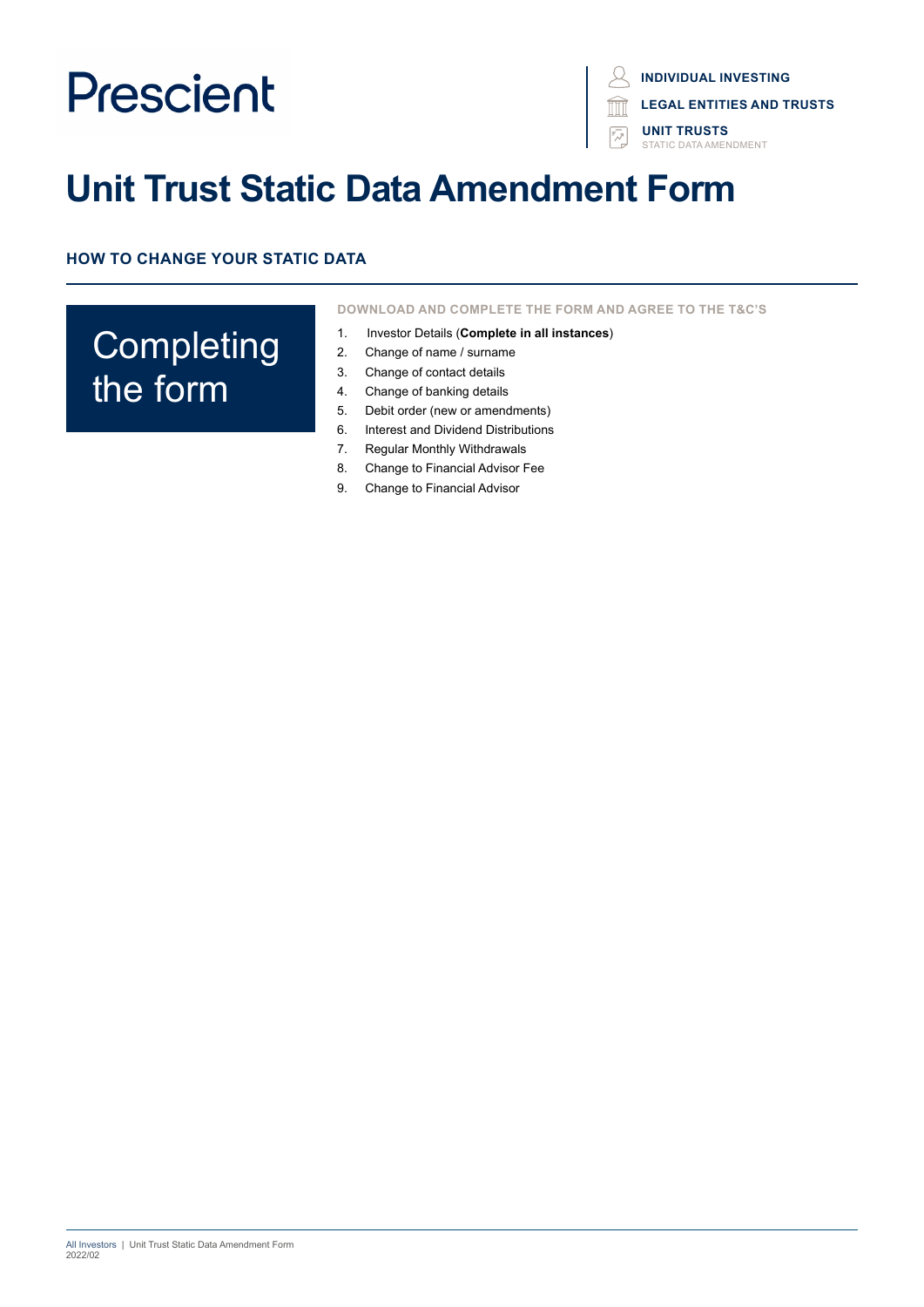**INDIVIDUAL INVESTING**

**LEGAL ENTITIES AND TRUSTS**

**UNIT TRUSTS** STATIC DATA AMENDMENT

# **Unit Trust Static Data Amendment Form**

**HOW TO CHANGE YOUR STATIC DATA**

# **Completing** the form

**DOWNLOAD AND COMPLETE THE FORM AND AGREE TO THE T&C'S**

- 1. Investor Details (**Complete in all instances**)
- 2. Change of name / surname
- 3. Change of contact details
- 4. Change of banking details
- 5. Debit order (new or amendments)
- 6. Interest and Dividend Distributions
- 7. Regular Monthly Withdrawals
- 8. Change to Financial Advisor Fee
- 9. Change to Financial Advisor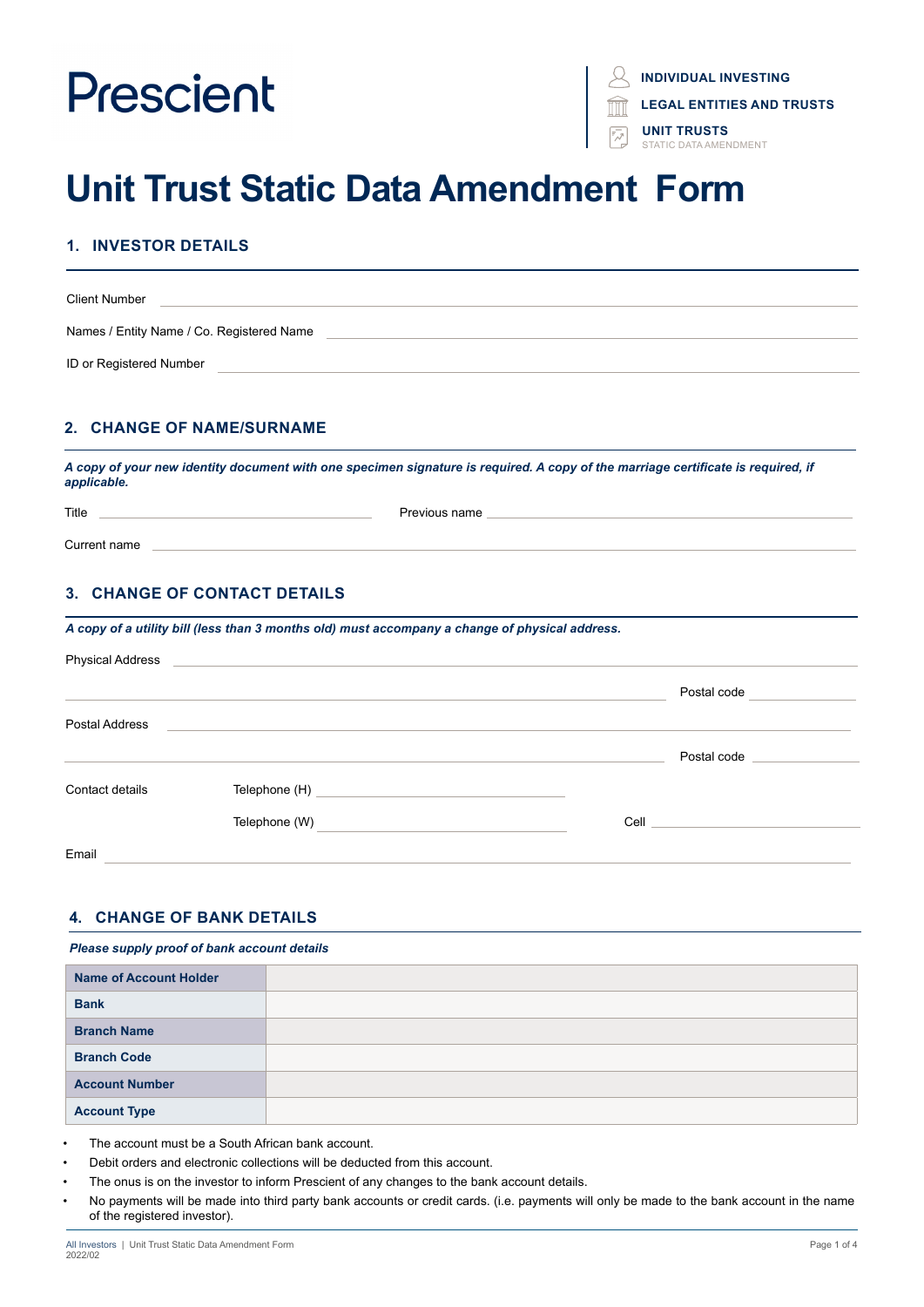**INDIVIDUAL INVESTING**

**LEGAL ENTITIES AND TRUSTS**

**UNIT TRUSTS** STATIC DATA AMENDMENT

# **Unit Trust Static Data Amendment Form**

# **1. INVESTOR DETAILS**

| <b>Client Number</b>                      |  |
|-------------------------------------------|--|
| Names / Entity Name / Co. Registered Name |  |
| ID or Registered Number                   |  |

## **2. CHANGE OF NAME/SURNAME**

*A copy of your new identity document with one specimen signature is required. A copy of the marriage certificate is required, if applicable.*

| Title |  |
|-------|--|
|       |  |

Current name

## **3. CHANGE OF CONTACT DETAILS**

|  |  | A copy of a utility bill (less than 3 months old) must accompany a change of physical address. |
|--|--|------------------------------------------------------------------------------------------------|
|  |  |                                                                                                |

| <b>Physical Address</b> |                                                                                                                                        |                                 |
|-------------------------|----------------------------------------------------------------------------------------------------------------------------------------|---------------------------------|
|                         |                                                                                                                                        | Postal code                     |
| Postal Address          |                                                                                                                                        |                                 |
|                         |                                                                                                                                        | Postal code                     |
| Contact details         | Telephone (H)<br><u> 1980 - Andrea State Barbara, amerikan personal di personal dengan personal dengan personal dengan personal de</u> |                                 |
|                         | Telephone (W)                                                                                                                          | <b>Cell Cell Cell Cell Cell</b> |
| Email                   |                                                                                                                                        |                                 |

### **4. CHANGE OF BANK DETAILS**

#### *Please supply proof of bank account details*

| <b>Name of Account Holder</b> |  |
|-------------------------------|--|
| <b>Bank</b>                   |  |
| <b>Branch Name</b>            |  |
| <b>Branch Code</b>            |  |
| <b>Account Number</b>         |  |
| <b>Account Type</b>           |  |

- The account must be a South African bank account.
- Debit orders and electronic collections will be deducted from this account.
- The onus is on the investor to inform Prescient of any changes to the bank account details.
- No payments will be made into third party bank accounts or credit cards. (i.e. payments will only be made to the bank account in the name of the registered investor).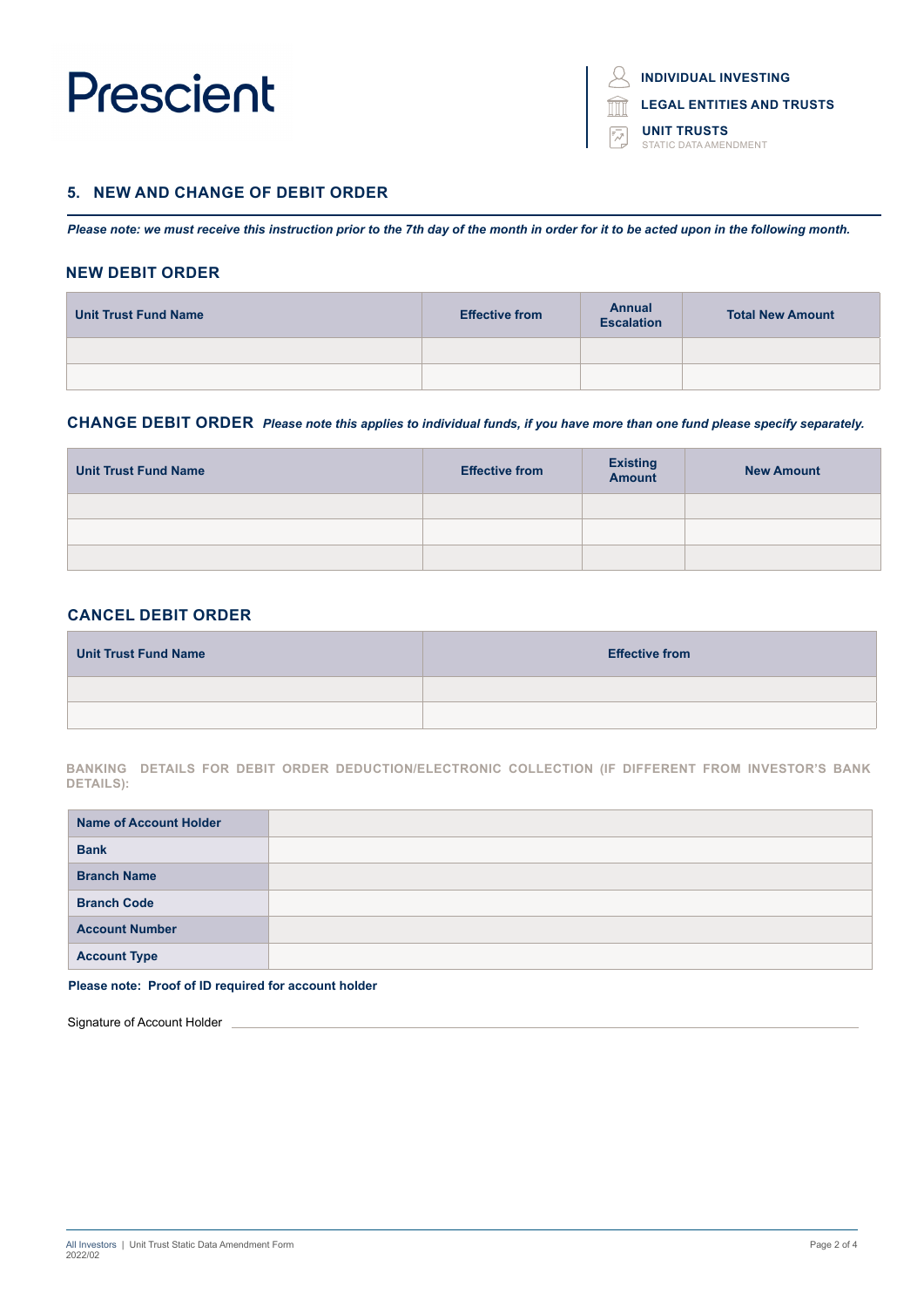**INDIVIDUAL INVESTING**

**LEGAL ENTITIES AND TRUSTS**

**UNIT TRUSTS** STATIC DATA AMENDMENT

#### **5. NEW AND CHANGE OF DEBIT ORDER**

*Please note: we must receive this instruction prior to the 7th day of the month in order for it to be acted upon in the following month.* 

#### **NEW DEBIT ORDER**

| <b>Unit Trust Fund Name</b> | <b>Effective from</b> | <b>Annual</b><br><b>Escalation</b> | <b>Total New Amount</b> |
|-----------------------------|-----------------------|------------------------------------|-------------------------|
|                             |                       |                                    |                         |
|                             |                       |                                    |                         |

#### **CHANGE DEBIT ORDER** *Please note this applies to individual funds, if you have more than one fund please specify separately.*

| <b>Unit Trust Fund Name</b> | <b>Effective from</b> | <b>Existing</b><br><b>Amount</b> | <b>New Amount</b> |
|-----------------------------|-----------------------|----------------------------------|-------------------|
|                             |                       |                                  |                   |
|                             |                       |                                  |                   |
|                             |                       |                                  |                   |

#### **CANCEL DEBIT ORDER**

| <b>Unit Trust Fund Name</b> | <b>Effective from</b> |
|-----------------------------|-----------------------|
|                             |                       |
|                             |                       |

**BANKING DETAILS FOR DEBIT ORDER DEDUCTION/ELECTRONIC COLLECTION (IF DIFFERENT FROM INVESTOR'S BANK DETAILS):**

| <b>Name of Account Holder</b> |  |
|-------------------------------|--|
| <b>Bank</b>                   |  |
| <b>Branch Name</b>            |  |
| <b>Branch Code</b>            |  |
| <b>Account Number</b>         |  |
| <b>Account Type</b>           |  |

#### **Please note: Proof of ID required for account holder**

Signature of Account Holder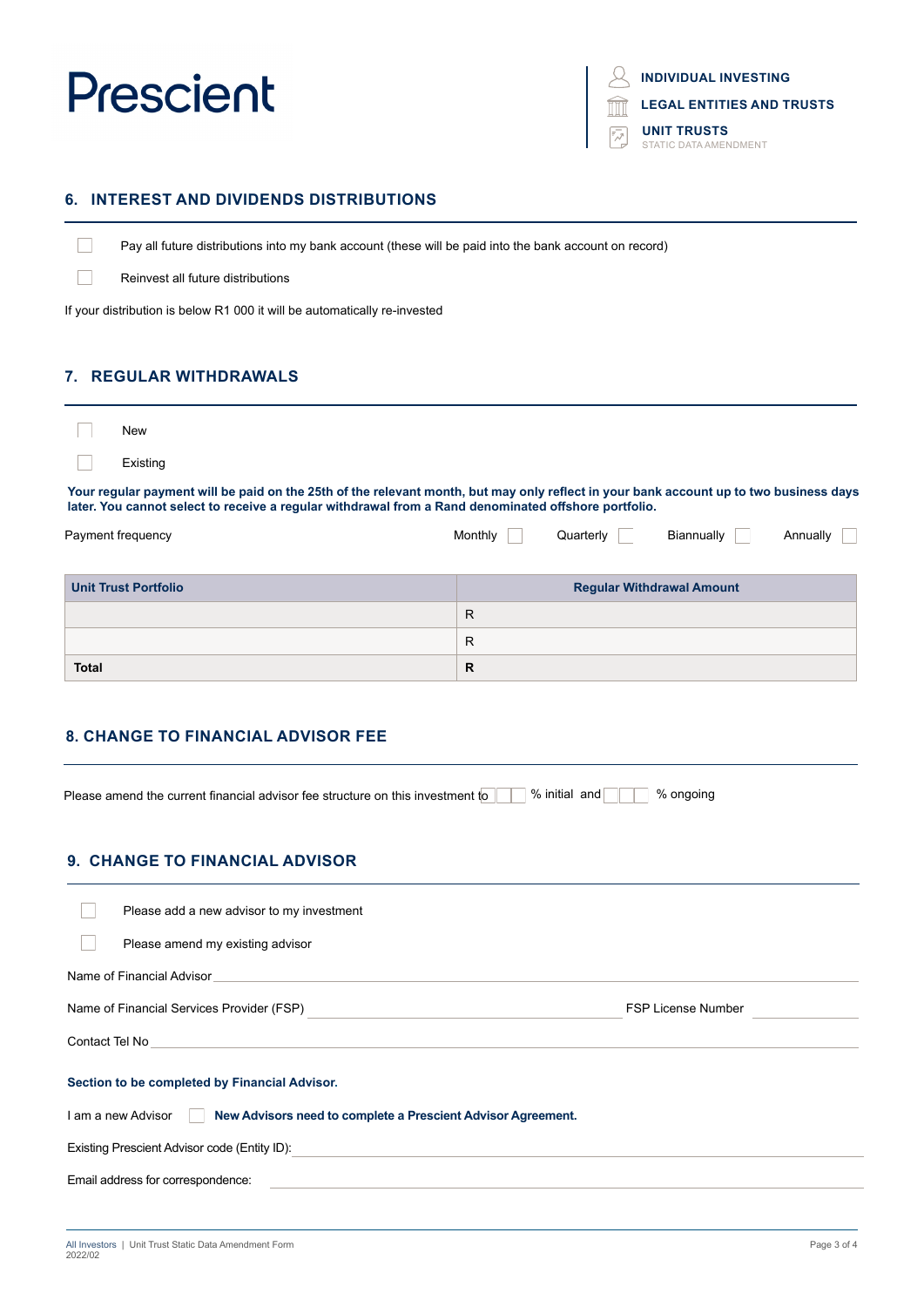$\Box$ 

 $\Box$ 

**INDIVIDUAL INVESTING**

**LEGAL ENTITIES AND TRUSTS**

**UNIT TRUSTS** STATIC DATA AMENDMENT

### **6. INTEREST AND DIVIDENDS DISTRIBUTIONS**

Pay all future distributions into my bank account (these will be paid into the bank account on record)

Reinvest all future distributions

If your distribution is below R1 000 it will be automatically re-invested

### **7. REGULAR WITHDRAWALS**

| New                                                                                                                                                                                                                                            |         |           |            |          |
|------------------------------------------------------------------------------------------------------------------------------------------------------------------------------------------------------------------------------------------------|---------|-----------|------------|----------|
| Existing                                                                                                                                                                                                                                       |         |           |            |          |
| Your regular payment will be paid on the 25th of the relevant month, but may only reflect in your bank account up to two business days<br>later. You cannot select to receive a regular withdrawal from a Rand denominated offshore portfolio. |         |           |            |          |
| Payment frequency                                                                                                                                                                                                                              | Monthly | Quarterly | Biannually | Annually |

| <b>Unit Trust Portfolio</b> | <b>Regular Withdrawal Amount</b> |
|-----------------------------|----------------------------------|
|                             | R                                |
|                             | R                                |
| <b>Total</b>                | R                                |

## **8. CHANGE TO FINANCIAL ADVISOR FEE**

Please amend the current financial advisor fee structure on this investment to **with the Structure on the structure** 

## **9. CHANGE TO FINANCIAL ADVISOR**

| Please add a new advisor to my investment                                                                                                                                                                                                       |                           |
|-------------------------------------------------------------------------------------------------------------------------------------------------------------------------------------------------------------------------------------------------|---------------------------|
| Please amend my existing advisor                                                                                                                                                                                                                |                           |
| Name of Financial Advisor                                                                                                                                                                                                                       |                           |
| Name of Financial Services Provider (FSP)                                                                                                                                                                                                       | <b>FSP License Number</b> |
| Contact Tel No<br>the control of the control of the control of the control of the control of the control of the control of the control of the control of the control of the control of the control of the control of the control of the control |                           |
| Section to be completed by Financial Advisor.                                                                                                                                                                                                   |                           |
| I am a new Advisor<br>New Advisors need to complete a Prescient Advisor Agreement.                                                                                                                                                              |                           |
| Existing Prescient Advisor code (Entity ID):                                                                                                                                                                                                    |                           |
| Email address for correspondence:                                                                                                                                                                                                               |                           |